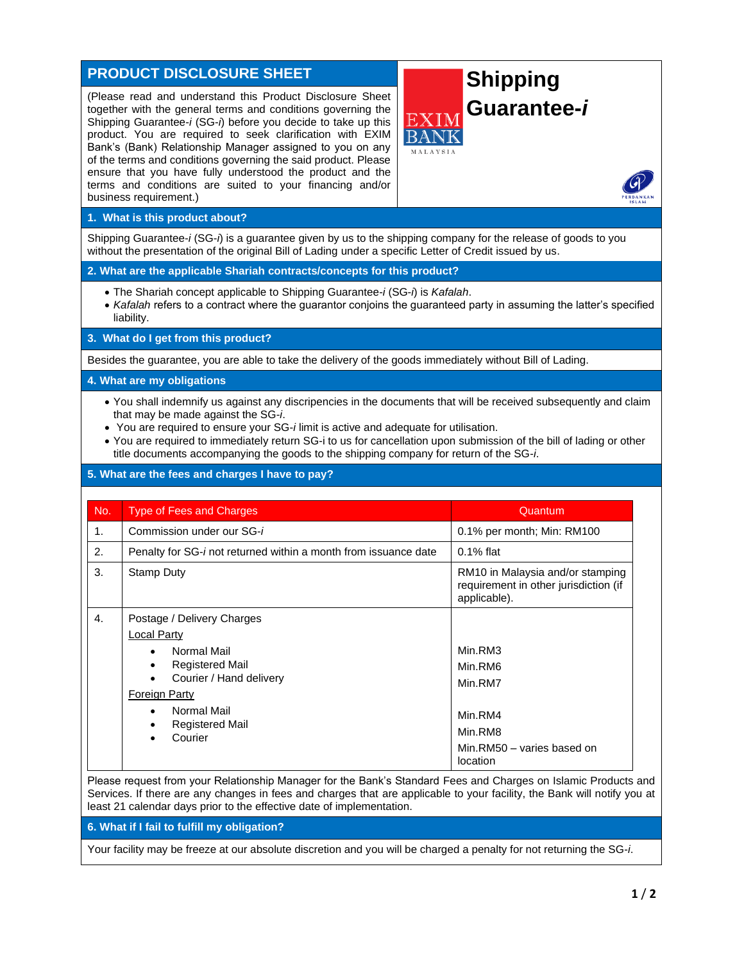# **PRODUCT DISCLOSURE SHEET**

(Please read and understand this Product Disclosure Sheet together with the general terms and conditions governing the Shipping Guarantee-*i* (SG-*i*) before you decide to take up this product. You are required to seek clarification with EXIM Bank's (Bank) Relationship Manager assigned to you on any of the terms and conditions governing the said product. Please ensure that you have fully understood the product and the terms and conditions are suited to your financing and/or business requirement.)

# **Shipping Guarantee-***i*

**1. What is this product about?**

Shipping Guarantee-*i* (SG-*i*) is a guarantee given by us to the shipping company for the release of goods to you without the presentation of the original Bill of Lading under a specific Letter of Credit issued by us.

#### **2. What are the applicable Shariah contracts/concepts for this product?**

- The Shariah concept applicable to Shipping Guarantee-*i* (SG-*i*) is *Kafalah*.
- *Kafalah* refers to a contract where the guarantor conjoins the guaranteed party in assuming the latter's specified liability.

**3. What do I get from this product?**

Besides the guarantee, you are able to take the delivery of the goods immediately without Bill of Lading.

#### **4. What are my obligations**

- You shall indemnify us against any discripencies in the documents that will be received subsequently and claim that may be made against the SG-*i*.
- You are required to ensure your SG-*i* limit is active and adequate for utilisation.
- You are required to immediately return SG-i to us for cancellation upon submission of the bill of lading or other title documents accompanying the goods to the shipping company for return of the SG-*i*.

# **5. What are the fees and charges I have to pay?**

| No. | <b>Type of Fees and Charges</b>                                                                                                                                                                                                                         | Quantum                                                                                       |
|-----|---------------------------------------------------------------------------------------------------------------------------------------------------------------------------------------------------------------------------------------------------------|-----------------------------------------------------------------------------------------------|
| 1.  | Commission under our SG-i                                                                                                                                                                                                                               | 0.1% per month; Min: RM100                                                                    |
| 2.  | Penalty for SG- <i>i</i> not returned within a month from issuance date                                                                                                                                                                                 | $0.1\%$ flat                                                                                  |
| 3.  | <b>Stamp Duty</b>                                                                                                                                                                                                                                       | RM10 in Malaysia and/or stamping<br>requirement in other jurisdiction (if<br>applicable).     |
| 4.  | Postage / Delivery Charges<br>Local Party<br>Normal Mail<br>٠<br><b>Registered Mail</b><br>$\bullet$<br>Courier / Hand delivery<br>$\bullet$<br><b>Foreign Party</b><br>Normal Mail<br>$\bullet$<br><b>Registered Mail</b><br>٠<br>Courier<br>$\bullet$ | Min.RM3<br>Min.RM6<br>Min.RM7<br>Min.RM4<br>Min.RM8<br>Min.RM50 - varies based on<br>location |

Please request from your Relationship Manager for the Bank's Standard Fees and Charges on Islamic Products and Services. If there are any changes in fees and charges that are applicable to your facility, the Bank will notify you at least 21 calendar days prior to the effective date of implementation.

**6. What if I fail to fulfill my obligation?**

Your facility may be freeze at our absolute discretion and you will be charged a penalty for not returning the SG-*i*.